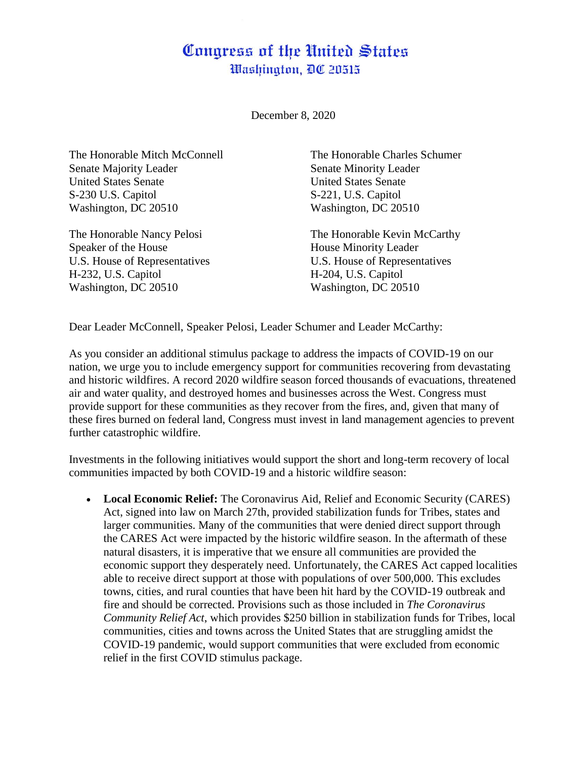## Congress of the United States Washington, DC 20515

December 8, 2020

The Honorable Mitch McConnell The Honorable Charles Schumer Senate Majority Leader Senate Minority Leader United States Senate United States Senate S-230 U.S. Capitol S-221, U.S. Capitol Washington, DC 20510 Washington, DC 20510

Speaker of the House **House** House Minority Leader H-232, U.S. Capitol H-204, U.S. Capitol Washington, DC 20510 Washington, DC 20510

The Honorable Nancy Pelosi The Honorable Kevin McCarthy U.S. House of Representatives U.S. House of Representatives

Dear Leader McConnell, Speaker Pelosi, Leader Schumer and Leader McCarthy:

As you consider an additional stimulus package to address the impacts of COVID-19 on our nation, we urge you to include emergency support for communities recovering from devastating and historic wildfires. A record 2020 wildfire season forced thousands of evacuations, threatened air and water quality, and destroyed homes and businesses across the West. Congress must provide support for these communities as they recover from the fires, and, given that many of these fires burned on federal land, Congress must invest in land management agencies to prevent further catastrophic wildfire.

Investments in the following initiatives would support the short and long-term recovery of local communities impacted by both COVID-19 and a historic wildfire season:

 **Local Economic Relief:** The Coronavirus Aid, Relief and Economic Security (CARES) Act, signed into law on March 27th, provided stabilization funds for Tribes, states and larger communities. Many of the communities that were denied direct support through the CARES Act were impacted by the historic wildfire season. In the aftermath of these natural disasters, it is imperative that we ensure all communities are provided the economic support they desperately need. Unfortunately, the CARES Act capped localities able to receive direct support at those with populations of over 500,000. This excludes towns, cities, and rural counties that have been hit hard by the COVID-19 outbreak and fire and should be corrected. Provisions such as those included in *The Coronavirus Community Relief Act*, which provides \$250 billion in stabilization funds for Tribes, local communities, cities and towns across the United States that are struggling amidst the COVID-19 pandemic, would support communities that were excluded from economic relief in the first COVID stimulus package.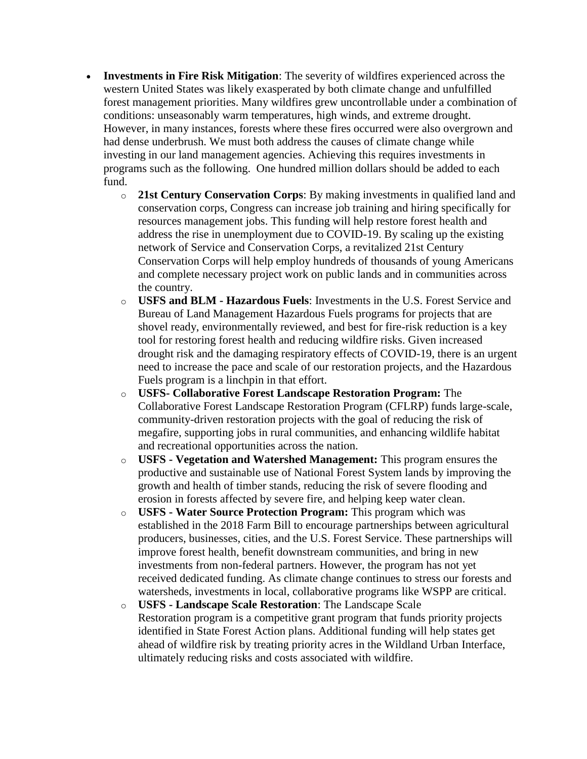- **Investments in Fire Risk Mitigation**: The severity of wildfires experienced across the western United States was likely exasperated by both climate change and unfulfilled forest management priorities. Many wildfires grew uncontrollable under a combination of conditions: unseasonably warm temperatures, high winds, and extreme drought. However, in many instances, forests where these fires occurred were also overgrown and had dense underbrush. We must both address the causes of climate change while investing in our land management agencies. Achieving this requires investments in programs such as the following. One hundred million dollars should be added to each fund.
	- o **21st Century Conservation Corps**: By making investments in qualified land and conservation corps, Congress can increase job training and hiring specifically for resources management jobs. This funding will help restore forest health and address the rise in unemployment due to COVID-19. By scaling up the existing network of Service and Conservation Corps, a revitalized 21st Century Conservation Corps will help employ hundreds of thousands of young Americans and complete necessary project work on public lands and in communities across the country.
	- o **USFS and BLM - Hazardous Fuels**: Investments in the U.S. Forest Service and Bureau of Land Management Hazardous Fuels programs for projects that are shovel ready, environmentally reviewed, and best for fire-risk reduction is a key tool for restoring forest health and reducing wildfire risks. Given increased drought risk and the damaging respiratory effects of COVID-19, there is an urgent need to increase the pace and scale of our restoration projects, and the Hazardous Fuels program is a linchpin in that effort.
	- o **USFS- Collaborative Forest Landscape Restoration Program:** The Collaborative Forest Landscape Restoration Program (CFLRP) funds large-scale, community-driven restoration projects with the goal of reducing the risk of megafire, supporting jobs in rural communities, and enhancing wildlife habitat and recreational opportunities across the nation.
	- o **USFS - Vegetation and Watershed Management:** This program ensures the productive and sustainable use of National Forest System lands by improving the growth and health of timber stands, reducing the risk of severe flooding and erosion in forests affected by severe fire, and helping keep water clean.
	- o **USFS - Water Source Protection Program:** This program which was established in the 2018 Farm Bill to encourage partnerships between agricultural producers, businesses, cities, and the U.S. Forest Service. These partnerships will improve forest health, benefit downstream communities, and bring in new investments from non-federal partners. However, the program has not yet received dedicated funding. As climate change continues to stress our forests and watersheds, investments in local, collaborative programs like WSPP are critical.
	- o **USFS - Landscape Scale Restoration**: The Landscape Scale Restoration program is a competitive grant program that funds priority projects identified in State Forest Action plans. Additional funding will help states get ahead of wildfire risk by treating priority acres in the Wildland Urban Interface, ultimately reducing risks and costs associated with wildfire.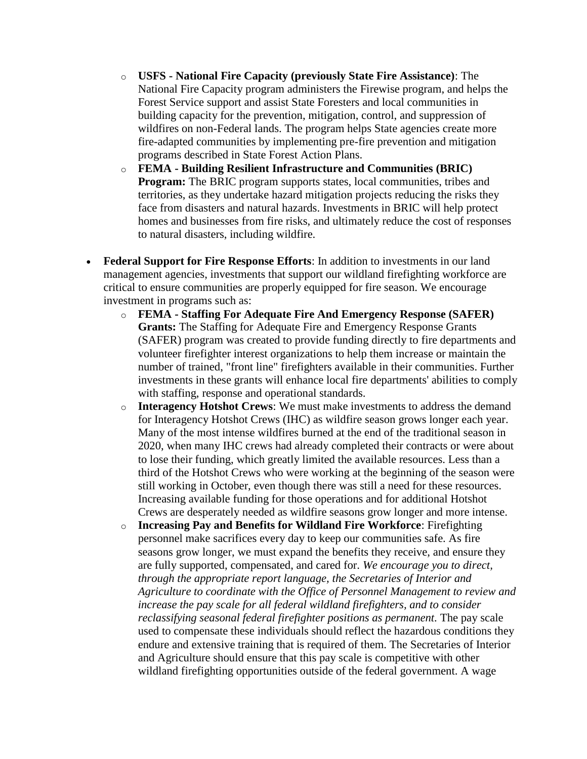- o **USFS - National Fire Capacity (previously State Fire Assistance)**: The National Fire Capacity program administers the Firewise program, and helps the Forest Service support and assist State Foresters and local communities in building capacity for the prevention, mitigation, control, and suppression of wildfires on non-Federal lands. The program helps State agencies create more fire-adapted communities by implementing pre-fire prevention and mitigation programs described in State Forest Action Plans.
- o **FEMA - Building Resilient Infrastructure and Communities (BRIC) Program:** The BRIC program supports states, local communities, tribes and territories, as they undertake hazard mitigation projects reducing the risks they face from disasters and natural hazards. Investments in BRIC will help protect homes and businesses from fire risks, and ultimately reduce the cost of responses to natural disasters, including wildfire.
- **Federal Support for Fire Response Efforts**: In addition to investments in our land management agencies, investments that support our wildland firefighting workforce are critical to ensure communities are properly equipped for fire season. We encourage investment in programs such as:
	- o **FEMA - Staffing For Adequate Fire And Emergency Response (SAFER) Grants:** The Staffing for Adequate Fire and Emergency Response Grants (SAFER) program was created to provide funding directly to fire departments and volunteer firefighter interest organizations to help them increase or maintain the number of trained, "front line" firefighters available in their communities. Further investments in these grants will enhance local fire departments' abilities to comply with staffing, response and operational standards.
	- o **Interagency Hotshot Crews**: We must make investments to address the demand for Interagency Hotshot Crews (IHC) as wildfire season grows longer each year. Many of the most intense wildfires burned at the end of the traditional season in 2020, when many IHC crews had already completed their contracts or were about to lose their funding, which greatly limited the available resources. Less than a third of the Hotshot Crews who were working at the beginning of the season were still working in October, even though there was still a need for these resources. Increasing available funding for those operations and for additional Hotshot Crews are desperately needed as wildfire seasons grow longer and more intense.
	- o **Increasing Pay and Benefits for Wildland Fire Workforce**: Firefighting personnel make sacrifices every day to keep our communities safe. As fire seasons grow longer, we must expand the benefits they receive, and ensure they are fully supported, compensated, and cared for. *We encourage you to direct, through the appropriate report language, the Secretaries of Interior and Agriculture to coordinate with the Office of Personnel Management to review and increase the pay scale for all federal wildland firefighters, and to consider reclassifying seasonal federal firefighter positions as permanent.* The pay scale used to compensate these individuals should reflect the hazardous conditions they endure and extensive training that is required of them. The Secretaries of Interior and Agriculture should ensure that this pay scale is competitive with other wildland firefighting opportunities outside of the federal government. A wage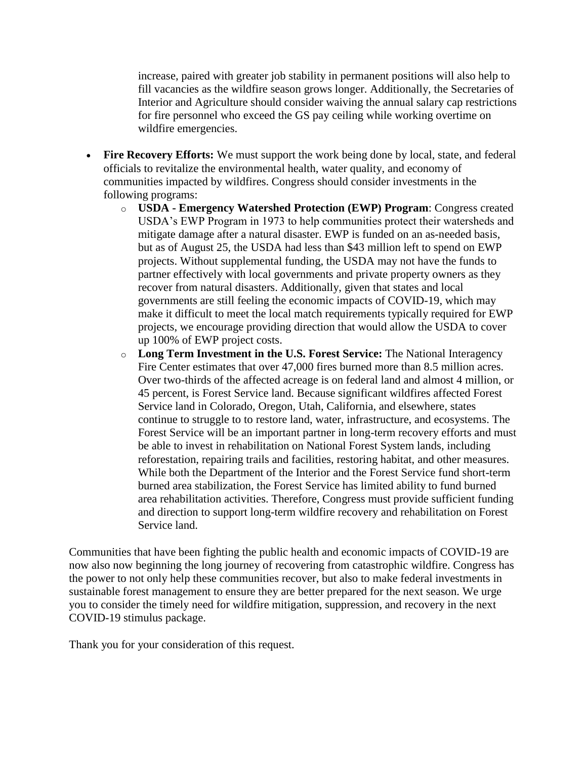increase, paired with greater job stability in permanent positions will also help to fill vacancies as the wildfire season grows longer. Additionally, the Secretaries of Interior and Agriculture should consider waiving the annual salary cap restrictions for fire personnel who exceed the GS pay ceiling while working overtime on wildfire emergencies.

- **Fire Recovery Efforts:** We must support the work being done by local, state, and federal officials to revitalize the environmental health, water quality, and economy of communities impacted by wildfires. Congress should consider investments in the following programs:
	- o **USDA - Emergency Watershed Protection (EWP) Program**: Congress created USDA's EWP Program in 1973 to help communities protect their watersheds and mitigate damage after a natural disaster. EWP is funded on an as-needed basis, but as of August 25, the USDA had less than \$43 million left to spend on EWP projects. Without supplemental funding, the USDA may not have the funds to partner effectively with local governments and private property owners as they recover from natural disasters. Additionally, given that states and local governments are still feeling the economic impacts of COVID-19, which may make it difficult to meet the local match requirements typically required for EWP projects, we encourage providing direction that would allow the USDA to cover up 100% of EWP project costs.
	- o **Long Term Investment in the U.S. Forest Service:** The National Interagency Fire Center estimates that over 47,000 fires burned more than 8.5 million acres. Over two-thirds of the affected acreage is on federal land and almost 4 million, or 45 percent, is Forest Service land. Because significant wildfires affected Forest Service land in Colorado, Oregon, Utah, California, and elsewhere, states continue to struggle to to restore land, water, infrastructure, and ecosystems. The Forest Service will be an important partner in long-term recovery efforts and must be able to invest in rehabilitation on National Forest System lands, including reforestation, repairing trails and facilities, restoring habitat, and other measures. While both the Department of the Interior and the Forest Service fund short-term burned area stabilization, the Forest Service has limited ability to fund burned area rehabilitation activities. Therefore, Congress must provide sufficient funding and direction to support long-term wildfire recovery and rehabilitation on Forest Service land.

Communities that have been fighting the public health and economic impacts of COVID-19 are now also now beginning the long journey of recovering from catastrophic wildfire. Congress has the power to not only help these communities recover, but also to make federal investments in sustainable forest management to ensure they are better prepared for the next season. We urge you to consider the timely need for wildfire mitigation, suppression, and recovery in the next COVID-19 stimulus package.

Thank you for your consideration of this request.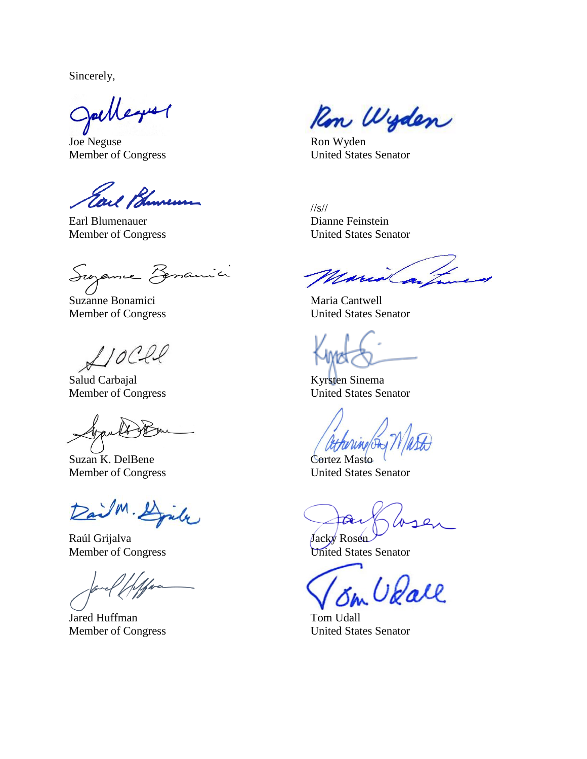Sincerely,

Jackberry

Joe Neguse Ron Wyden

Earl Bhurens

Earl Blumenauer Dianne Feinstein

Suzanne Persanici

Suzanne Bonamici Maria Cantwell

 $0$ 

Salud Carbajal Kyrsten Sinema

Suzan K. DelBene Cortez Masto

Raúl Grijalva Jacky Rosen Member of Congress United States Senator

Jared Huffman Tom Udall

Ron Wyden

Member of Congress United States Senator

//s// Member of Congress United States Senator

Maria

Member of Congress United States Senator

Member of Congress United States Senator

Member of Congress United States Senator

Voall

Member of Congress United States Senator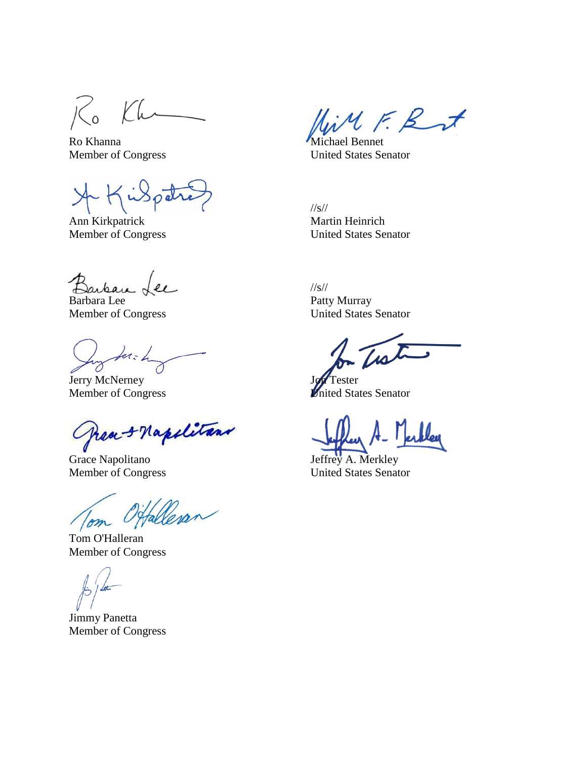$\overline{\text{K}}$ Kh

Ro Khanna Michael Bennet

 $\left($ 

Ann Kirkpatrick Martin Heinrich Member of Congress United States Senator

 $\mathfrak{g}_{\ell}$ 

for-h

Journey Journey Journey Journey

fran & Napolitans C

Grace Napolitano Jeffrey A. Merkley

Offalleran Tom

Tom O'Halleran Member of Congress

Jimmy Panetta Member of Congress

LiMF. But

Member of Congress United States Senator

//s//

//s// Barbara Lee Patty Murray Member of Congress United States Senator

Member of Congress **United States Senator** 

Member of Congress United States Senator